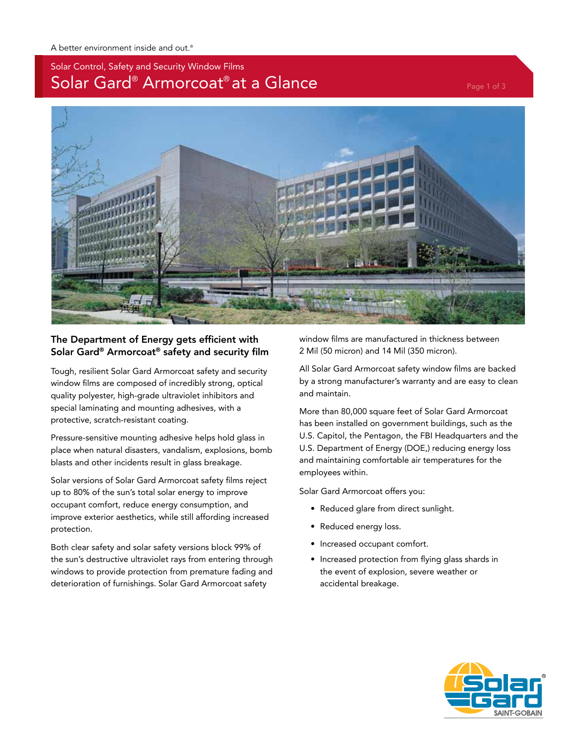# Solar Control, Safety and Security Window Films Solar Gard® Armorcoat® at a Glance Page 1 of 3



## The Department of Energy gets efficient with Solar Gard® Armorcoat® safety and security film

Tough, resilient Solar Gard Armorcoat safety and security window films are composed of incredibly strong, optical quality polyester, high-grade ultraviolet inhibitors and special laminating and mounting adhesives, with a protective, scratch-resistant coating.

Pressure-sensitive mounting adhesive helps hold glass in place when natural disasters, vandalism, explosions, bomb blasts and other incidents result in glass breakage.

Solar versions of Solar Gard Armorcoat safety films reject up to 80% of the sun's total solar energy to improve occupant comfort, reduce energy consumption, and improve exterior aesthetics, while still affording increased protection.

Both clear safety and solar safety versions block 99% of the sun's destructive ultraviolet rays from entering through windows to provide protection from premature fading and deterioration of furnishings. Solar Gard Armorcoat safety

window films are manufactured in thickness between 2 Mil (50 micron) and 14 Mil (350 micron).

All Solar Gard Armorcoat safety window films are backed by a strong manufacturer's warranty and are easy to clean and maintain.

More than 80,000 square feet of Solar Gard Armorcoat has been installed on government buildings, such as the U.S. Capitol, the Pentagon, the FBI Headquarters and the U.S. Department of Energy (DOE,) reducing energy loss and maintaining comfortable air temperatures for the employees within.

Solar Gard Armorcoat offers you:

- Reduced glare from direct sunlight.
- Reduced energy loss.
- Increased occupant comfort.
- Increased protection from flying glass shards in the event of explosion, severe weather or accidental breakage.

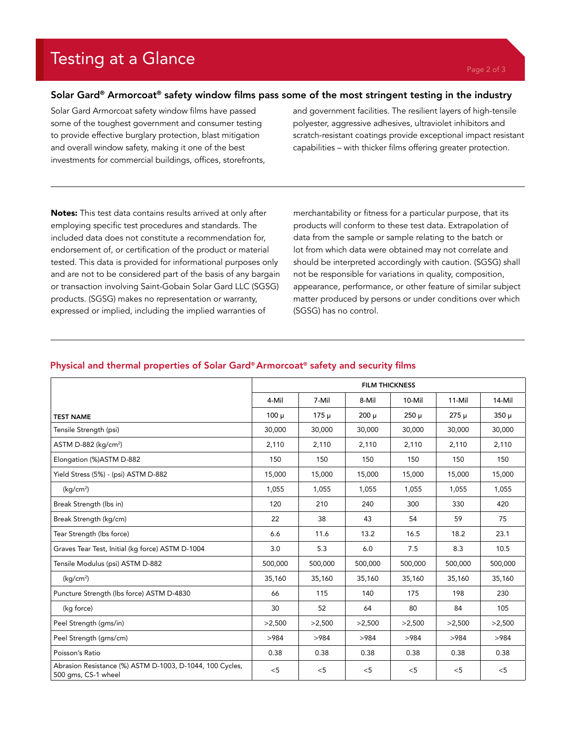# Testing at a Glance

### Solar Gard® Armorcoat® safety window films pass some of the most stringent testing in the industry

Solar Gard Armorcoat safety window films have passed some of the toughest government and consumer testing to provide effective burglary protection, blast mitigation and overall window safety, making it one of the best investments for commercial buildings, offices, storefronts,

and government facilities. The resilient layers of high-tensile polyester, aggressive adhesives, ultraviolet inhibitors and scratch-resistant coatings provide exceptional impact resistant capabilities – with thicker films offering greater protection.

Notes: This test data contains results arrived at only after employing specific test procedures and standards. The included data does not constitute a recommendation for, endorsement of, or certification of the product or material tested. This data is provided for informational purposes only and are not to be considered part of the basis of any bargain or transaction involving Saint-Gobain Solar Gard LLC (SGSG) products. (SGSG) makes no representation or warranty, expressed or implied, including the implied warranties of

merchantability or fitness for a particular purpose, that its products will conform to these test data. Extrapolation of data from the sample or sample relating to the batch or lot from which data were obtained may not correlate and should be interpreted accordingly with caution. (SGSG) shall not be responsible for variations in quality, composition, appearance, performance, or other feature of similar subject matter produced by persons or under conditions over which (SGSG) has no control.

#### Physical and thermal properties of Solar Gard® Armorcoat® safety and security films

|                                                                                 | <b>FILM THICKNESS</b> |           |           |           |           |           |  |  |
|---------------------------------------------------------------------------------|-----------------------|-----------|-----------|-----------|-----------|-----------|--|--|
|                                                                                 | 4-Mil                 | 7-Mil     | 8-Mil     | 10-Mil    | $11-Mi$   | 14-Mil    |  |  |
| <b>TEST NAME</b>                                                                | $100 \mu$             | $175 \mu$ | $200 \mu$ | $250 \mu$ | $275 \mu$ | $350 \mu$ |  |  |
| Tensile Strength (psi)                                                          | 30,000                | 30,000    | 30,000    | 30,000    | 30,000    | 30,000    |  |  |
| ASTM D-882 (kg/cm <sup>2</sup> )                                                | 2,110                 | 2,110     | 2,110     | 2,110     | 2,110     | 2,110     |  |  |
| Elongation (%)ASTM D-882                                                        | 150                   | 150       | 150       | 150       | 150       | 150       |  |  |
| Yield Stress (5%) - (psi) ASTM D-882                                            | 15,000                | 15,000    | 15,000    | 15,000    | 15,000    | 15,000    |  |  |
| (kq/cm <sup>2</sup> )                                                           | 1,055                 | 1,055     | 1,055     | 1,055     | 1,055     | 1,055     |  |  |
| Break Strength (lbs in)                                                         | 120                   | 210       | 240       | 300       | 330       | 420       |  |  |
| Break Strength (kg/cm)                                                          | 22                    | 38        | 43        | 54        | 59        | 75        |  |  |
| Tear Strength (lbs force)                                                       | 6.6                   | 11.6      | 13.2      | 16.5      | 18.2      | 23.1      |  |  |
| Graves Tear Test, Initial (kg force) ASTM D-1004                                | 3.0                   | 5.3       | 6.0       | 7.5       | 8.3       | 10.5      |  |  |
| Tensile Modulus (psi) ASTM D-882                                                | 500,000               | 500,000   | 500,000   | 500,000   | 500,000   | 500,000   |  |  |
| (kq/cm <sup>2</sup> )                                                           | 35,160                | 35,160    | 35,160    | 35,160    | 35,160    | 35,160    |  |  |
| Puncture Strength (lbs force) ASTM D-4830                                       | 66                    | 115       | 140       | 175       | 198       | 230       |  |  |
| (kg force)                                                                      | 30                    | 52        | 64        | 80        | 84        | 105       |  |  |
| Peel Strength (gms/in)                                                          | >2,500                | >2,500    | >2,500    | >2,500    | >2,500    | >2,500    |  |  |
| Peel Strength (gms/cm)                                                          | >984                  | >984      | >984      | >984      | >984      | >984      |  |  |
| Poisson's Ratio                                                                 | 0.38                  | 0.38      | 0.38      | 0.38      | 0.38      | 0.38      |  |  |
| Abrasion Resistance (%) ASTM D-1003, D-1044, 100 Cycles,<br>500 gms, CS-1 wheel | $<$ 5                 | $<$ 5     | $<$ 5     | < 5       | < 5       | $<$ 5     |  |  |